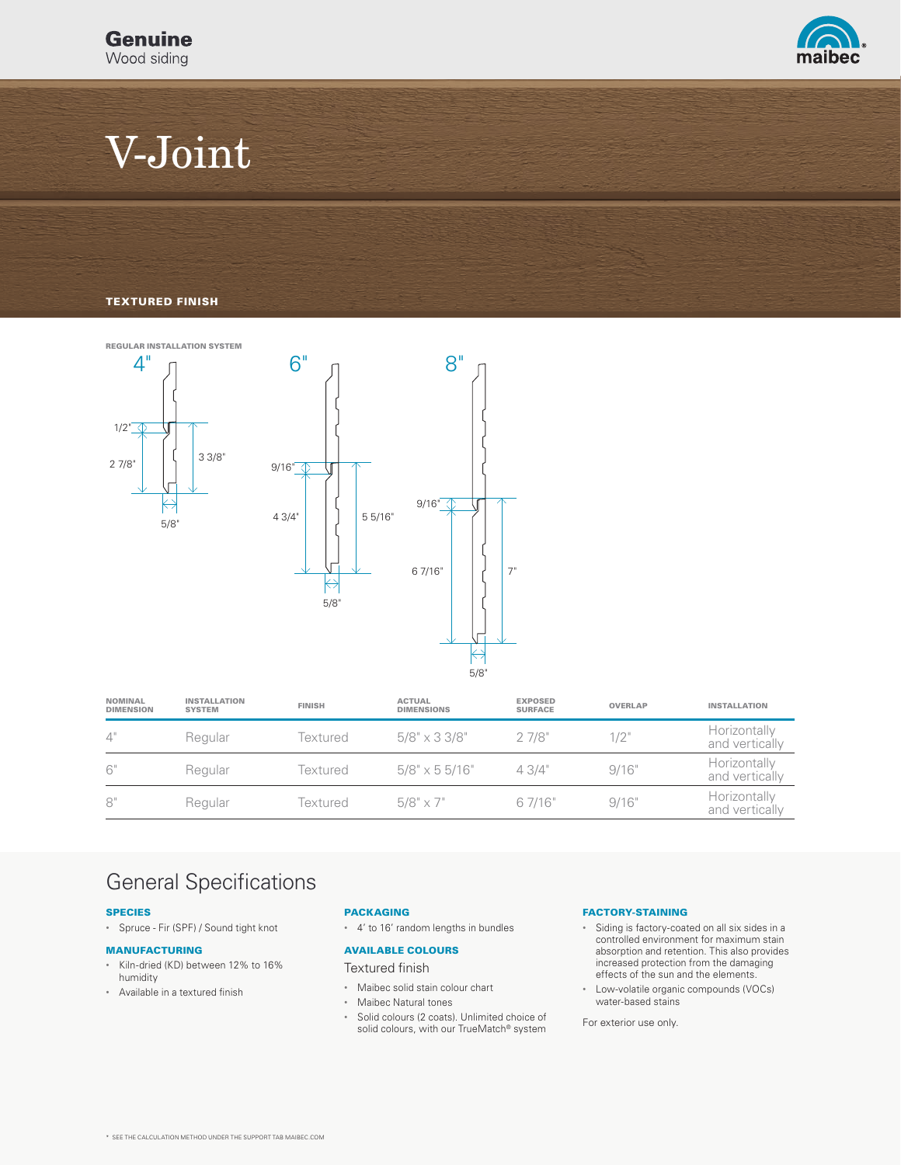

# V-Joint

### TEXTURED FINISH



| <b>NOMINAL</b><br><b>DIMENSION</b> | <b>INSTALLATION</b><br><b>SYSTEM</b> | <b>FINISH</b> | <b>ACTUAL</b><br><b>DIMENSIONS</b> | <b>EXPOSED</b><br><b>SURFACE</b> | <b>OVERLAP</b> | <b>INSTALLATION</b>            |
|------------------------------------|--------------------------------------|---------------|------------------------------------|----------------------------------|----------------|--------------------------------|
| 4"                                 | Regular                              | Textured      | $5/8" \times 3 \frac{3}{8"$        | 27/8"                            | 1/2"           | Horizontally<br>and vertically |
| 6"                                 | Regular                              | Textured      | $5/8" \times 55/16"$               | 43/4"                            | 9/16"          | Horizontally<br>and vertically |
| 8"                                 | Regular                              | Textured      | $5/8" \times 7"$                   | 6 7/16"                          | 9/16"          | Horizontally<br>and vertically |

### General Specifications

#### SPECIES

• Spruce - Fir (SPF) / Sound tight knot

#### MANUFACTURING

- Kiln-dried (KD) between 12% to 16% humidity
- Available in a textured finish

### PACKAGING

• 4' to 16' random lengths in bundles

### AVAILABLE COLOURS

Textured finish

- Maibec solid stain colour chart
- Maibec Natural tones
- Solid colours (2 coats). Unlimited choice of solid colours, with our TrueMatch® system

### FACTORY-STAINING

- Siding is factory-coated on all six sides in a controlled environment for maximum stain absorption and retention. This also provides increased protection from the damaging effects of the sun and the elements.
- Low-volatile organic compounds (VOCs) water-based stains

For exterior use only.